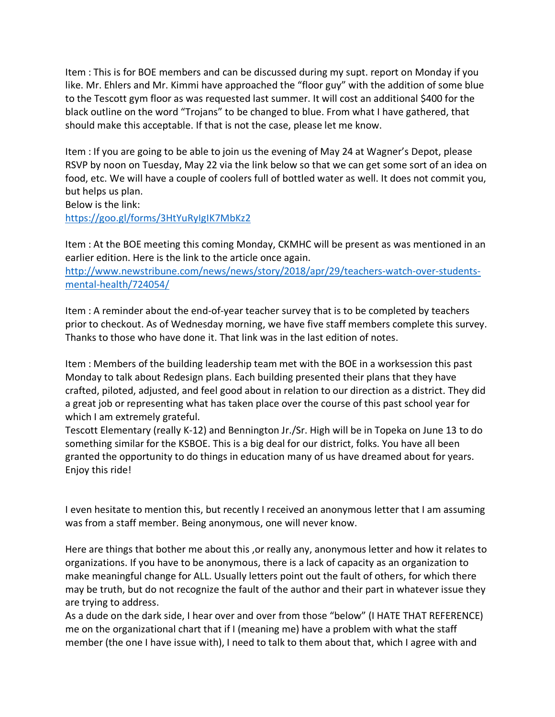Item : This is for BOE members and can be discussed during my supt. report on Monday if you like. Mr. Ehlers and Mr. Kimmi have approached the "floor guy" with the addition of some blue to the Tescott gym floor as was requested last summer. It will cost an additional \$400 for the black outline on the word "Trojans" to be changed to blue. From what I have gathered, that should make this acceptable. If that is not the case, please let me know.

Item : If you are going to be able to join us the evening of May 24 at Wagner's Depot, please RSVP by noon on Tuesday, May 22 via the link below so that we can get some sort of an idea on food, etc. We will have a couple of coolers full of bottled water as well. It does not commit you, but helps us plan.

Below is the link:

https://goo.gl/forms/3HtYuRyIgIK7MbKz2

Item : At the BOE meeting this coming Monday, CKMHC will be present as was mentioned in an earlier edition. Here is the link to the article once again. http://www.newstribune.com/news/news/story/2018/apr/29/teachers-watch-over-studentsmental-health/724054/

Item : A reminder about the end-of-year teacher survey that is to be completed by teachers prior to checkout. As of Wednesday morning, we have five staff members complete this survey. Thanks to those who have done it. That link was in the last edition of notes.

Item : Members of the building leadership team met with the BOE in a worksession this past Monday to talk about Redesign plans. Each building presented their plans that they have crafted, piloted, adjusted, and feel good about in relation to our direction as a district. They did a great job or representing what has taken place over the course of this past school year for which I am extremely grateful.

Tescott Elementary (really K-12) and Bennington Jr./Sr. High will be in Topeka on June 13 to do something similar for the KSBOE. This is a big deal for our district, folks. You have all been granted the opportunity to do things in education many of us have dreamed about for years. Enjoy this ride!

I even hesitate to mention this, but recently I received an anonymous letter that I am assuming was from a staff member. Being anonymous, one will never know.

Here are things that bother me about this ,or really any, anonymous letter and how it relates to organizations. If you have to be anonymous, there is a lack of capacity as an organization to make meaningful change for ALL. Usually letters point out the fault of others, for which there may be truth, but do not recognize the fault of the author and their part in whatever issue they are trying to address.

As a dude on the dark side, I hear over and over from those "below" (I HATE THAT REFERENCE) me on the organizational chart that if I (meaning me) have a problem with what the staff member (the one I have issue with), I need to talk to them about that, which I agree with and